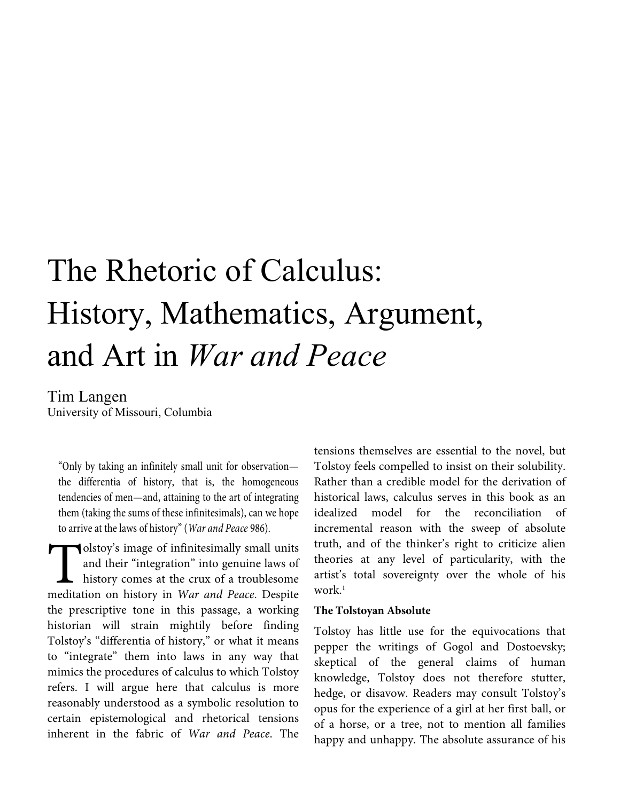# The Rhetoric of Calculus: History, Mathematics, Argument, and Art in *War and Peace*

Tim Langen

University of Missouri, Columbia

"Only by taking an infinitely small unit for observation the differentia of history, that is, the homogeneous tendencies of men—and, attaining to the art of integrating them (taking the sums of these infinitesimals), can we hope to arrive at the laws of history" (*War and Peace* 986).

olstoy's image of infinitesimally small units and their "integration" into genuine laws of history comes at the crux of a troublesome meditation on history in *War and Peace*. Despite the prescriptive tone in this passage, a working historian will strain mightily before finding Tolstoy's "differentia of history," or what it means to "integrate" them into laws in any way that mimics the procedures of calculus to which Tolstoy refers. I will argue here that calculus is more reasonably understood as a symbolic resolution to certain epistemological and rhetorical tensions inherent in the fabric of *War and Peace*. The Tols<br>and<br>meditation

tensions themselves are essential to the novel, but Tolstoy feels compelled to insist on their solubility. Rather than a credible model for the derivation of historical laws, calculus serves in this book as an idealized model for the reconciliation of incremental reason with the sweep of absolute truth, and of the thinker's right to criticize alien theories at any level of particularity, with the artist's total sovereignty over the whole of his work.<sup>1</sup>

#### **The Tolstoyan Absolute**

Tolstoy has little use for the equivocations that pepper the writings of Gogol and Dostoevsky; skeptical of the general claims of human knowledge, Tolstoy does not therefore stutter, hedge, or disavow. Readers may consult Tolstoy's opus for the experience of a girl at her first ball, or of a horse, or a tree, not to mention all families happy and unhappy. The absolute assurance of his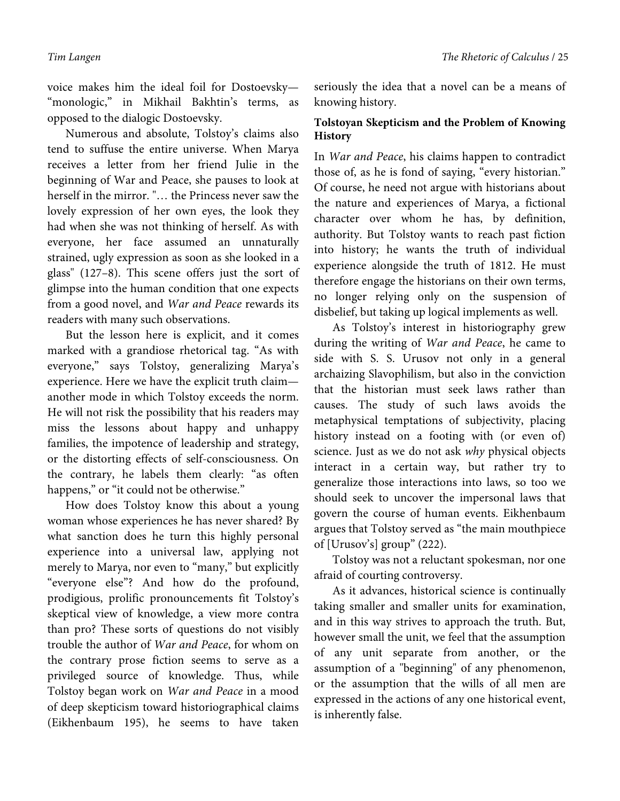voice makes him the ideal foil for Dostoevsky— "monologic," in Mikhail Bakhtin's terms, as opposed to the dialogic Dostoevsky.

Numerous and absolute, Tolstoy's claims also tend to suffuse the entire universe. When Marya receives a letter from her friend Julie in the beginning of War and Peace, she pauses to look at herself in the mirror. "… the Princess never saw the lovely expression of her own eyes, the look they had when she was not thinking of herself. As with everyone, her face assumed an unnaturally strained, ugly expression as soon as she looked in a glass" (127–8). This scene offers just the sort of glimpse into the human condition that one expects from a good novel, and *War and Peace* rewards its readers with many such observations.

But the lesson here is explicit, and it comes marked with a grandiose rhetorical tag. "As with everyone," says Tolstoy, generalizing Marya's experience. Here we have the explicit truth claim another mode in which Tolstoy exceeds the norm. He will not risk the possibility that his readers may miss the lessons about happy and unhappy families, the impotence of leadership and strategy, or the distorting effects of self-consciousness. On the contrary, he labels them clearly: "as often happens," or "it could not be otherwise."

How does Tolstoy know this about a young woman whose experiences he has never shared? By what sanction does he turn this highly personal experience into a universal law, applying not merely to Marya, nor even to "many," but explicitly "everyone else"? And how do the profound, prodigious, prolific pronouncements fit Tolstoy's skeptical view of knowledge, a view more contra than pro? These sorts of questions do not visibly trouble the author of *War and Peace*, for whom on the contrary prose fiction seems to serve as a privileged source of knowledge. Thus, while Tolstoy began work on *War and Peace* in a mood of deep skepticism toward historiographical claims (Eikhenbaum 195), he seems to have taken

seriously the idea that a novel can be a means of knowing history.

# **Tolstoyan Skepticism and the Problem of Knowing History**

In *War and Peace*, his claims happen to contradict those of, as he is fond of saying, "every historian." Of course, he need not argue with historians about the nature and experiences of Marya, a fictional character over whom he has, by definition, authority. But Tolstoy wants to reach past fiction into history; he wants the truth of individual experience alongside the truth of 1812. He must therefore engage the historians on their own terms, no longer relying only on the suspension of disbelief, but taking up logical implements as well.

As Tolstoy's interest in historiography grew during the writing of *War and Peace*, he came to side with S. S. Urusov not only in a general archaizing Slavophilism, but also in the conviction that the historian must seek laws rather than causes. The study of such laws avoids the metaphysical temptations of subjectivity, placing history instead on a footing with (or even of) science. Just as we do not ask *why* physical objects interact in a certain way, but rather try to generalize those interactions into laws, so too we should seek to uncover the impersonal laws that govern the course of human events. Eikhenbaum argues that Tolstoy served as "the main mouthpiece of [Urusov's] group" (222).

Tolstoy was not a reluctant spokesman, nor one afraid of courting controversy.

As it advances, historical science is continually taking smaller and smaller units for examination, and in this way strives to approach the truth. But, however small the unit, we feel that the assumption of any unit separate from another, or the assumption of a "beginning" of any phenomenon, or the assumption that the wills of all men are expressed in the actions of any one historical event, is inherently false.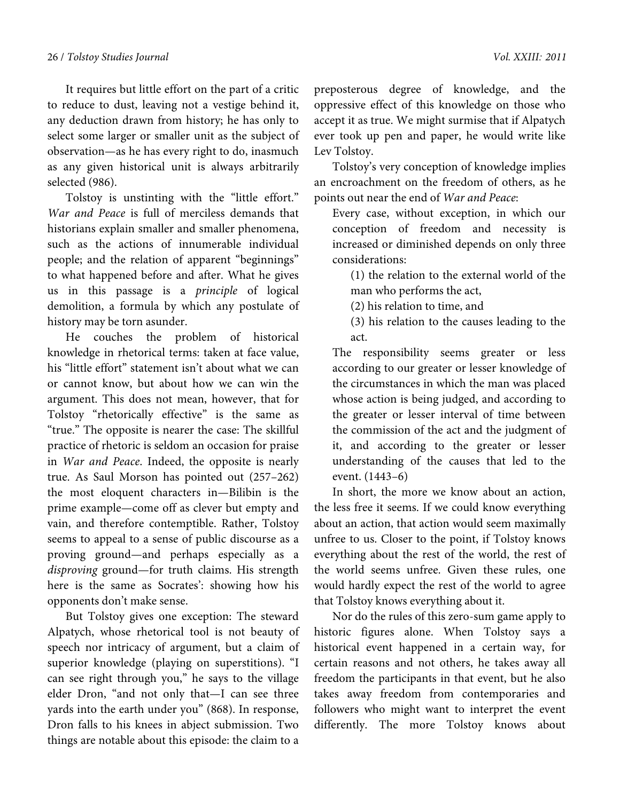It requires but little effort on the part of a critic to reduce to dust, leaving not a vestige behind it, any deduction drawn from history; he has only to select some larger or smaller unit as the subject of observation—as he has every right to do, inasmuch as any given historical unit is always arbitrarily selected (986).

Tolstoy is unstinting with the "little effort." *War and Peace* is full of merciless demands that historians explain smaller and smaller phenomena, such as the actions of innumerable individual people; and the relation of apparent "beginnings" to what happened before and after. What he gives us in this passage is a *principle* of logical demolition, a formula by which any postulate of history may be torn asunder.

He couches the problem of historical knowledge in rhetorical terms: taken at face value, his "little effort" statement isn't about what we can or cannot know, but about how we can win the argument. This does not mean, however, that for Tolstoy "rhetorically effective" is the same as "true." The opposite is nearer the case: The skillful practice of rhetoric is seldom an occasion for praise in *War and Peace*. Indeed, the opposite is nearly true. As Saul Morson has pointed out (257–262) the most eloquent characters in—Bilibin is the prime example—come off as clever but empty and vain, and therefore contemptible. Rather, Tolstoy seems to appeal to a sense of public discourse as a proving ground—and perhaps especially as a *disproving* ground—for truth claims. His strength here is the same as Socrates': showing how his opponents don't make sense.

But Tolstoy gives one exception: The steward Alpatych, whose rhetorical tool is not beauty of speech nor intricacy of argument, but a claim of superior knowledge (playing on superstitions). "I can see right through you," he says to the village elder Dron, "and not only that—I can see three yards into the earth under you" (868). In response, Dron falls to his knees in abject submission. Two things are notable about this episode: the claim to a

preposterous degree of knowledge, and the oppressive effect of this knowledge on those who accept it as true. We might surmise that if Alpatych ever took up pen and paper, he would write like Lev Tolstoy.

Tolstoy's very conception of knowledge implies an encroachment on the freedom of others, as he points out near the end of *War and Peace*:

Every case, without exception, in which our conception of freedom and necessity is increased or diminished depends on only three considerations:

(1) the relation to the external world of the man who performs the act,

(2) his relation to time, and

(3) his relation to the causes leading to the act.

The responsibility seems greater or less according to our greater or lesser knowledge of the circumstances in which the man was placed whose action is being judged, and according to the greater or lesser interval of time between the commission of the act and the judgment of it, and according to the greater or lesser understanding of the causes that led to the event. (1443–6)

In short, the more we know about an action, the less free it seems. If we could know everything about an action, that action would seem maximally unfree to us. Closer to the point, if Tolstoy knows everything about the rest of the world, the rest of the world seems unfree. Given these rules, one would hardly expect the rest of the world to agree that Tolstoy knows everything about it.

Nor do the rules of this zero-sum game apply to historic figures alone. When Tolstoy says a historical event happened in a certain way, for certain reasons and not others, he takes away all freedom the participants in that event, but he also takes away freedom from contemporaries and followers who might want to interpret the event differently. The more Tolstoy knows about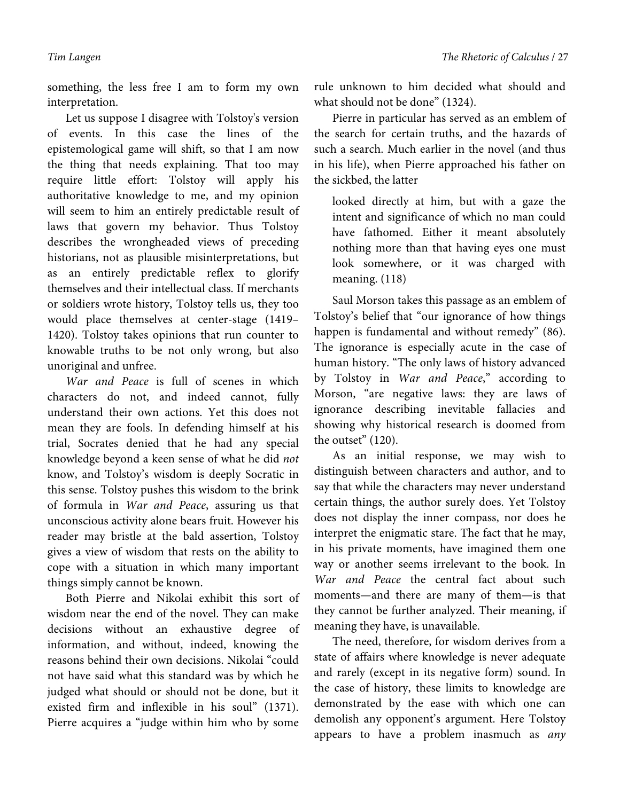something, the less free I am to form my own interpretation.

Let us suppose I disagree with Tolstoy's version of events. In this case the lines of the epistemological game will shift, so that I am now the thing that needs explaining. That too may require little effort: Tolstoy will apply his authoritative knowledge to me, and my opinion will seem to him an entirely predictable result of laws that govern my behavior. Thus Tolstoy describes the wrongheaded views of preceding historians, not as plausible misinterpretations, but as an entirely predictable reflex to glorify themselves and their intellectual class. If merchants or soldiers wrote history, Tolstoy tells us, they too would place themselves at center-stage (1419– 1420). Tolstoy takes opinions that run counter to knowable truths to be not only wrong, but also unoriginal and unfree.

*War and Peace* is full of scenes in which characters do not, and indeed cannot, fully understand their own actions. Yet this does not mean they are fools. In defending himself at his trial, Socrates denied that he had any special knowledge beyond a keen sense of what he did *not* know, and Tolstoy's wisdom is deeply Socratic in this sense. Tolstoy pushes this wisdom to the brink of formula in *War and Peace*, assuring us that unconscious activity alone bears fruit. However his reader may bristle at the bald assertion, Tolstoy gives a view of wisdom that rests on the ability to cope with a situation in which many important things simply cannot be known.

Both Pierre and Nikolai exhibit this sort of wisdom near the end of the novel. They can make decisions without an exhaustive degree of information, and without, indeed, knowing the reasons behind their own decisions. Nikolai "could not have said what this standard was by which he judged what should or should not be done, but it existed firm and inflexible in his soul" (1371). Pierre acquires a "judge within him who by some

rule unknown to him decided what should and what should not be done" (1324).

Pierre in particular has served as an emblem of the search for certain truths, and the hazards of such a search. Much earlier in the novel (and thus in his life), when Pierre approached his father on the sickbed, the latter

looked directly at him, but with a gaze the intent and significance of which no man could have fathomed. Either it meant absolutely nothing more than that having eyes one must look somewhere, or it was charged with meaning. (118)

Saul Morson takes this passage as an emblem of Tolstoy's belief that "our ignorance of how things happen is fundamental and without remedy" (86). The ignorance is especially acute in the case of human history. "The only laws of history advanced by Tolstoy in *War and Peace*," according to Morson, "are negative laws: they are laws of ignorance describing inevitable fallacies and showing why historical research is doomed from the outset" (120).

As an initial response, we may wish to distinguish between characters and author, and to say that while the characters may never understand certain things, the author surely does. Yet Tolstoy does not display the inner compass, nor does he interpret the enigmatic stare. The fact that he may, in his private moments, have imagined them one way or another seems irrelevant to the book. In *War and Peace* the central fact about such moments—and there are many of them—is that they cannot be further analyzed. Their meaning, if meaning they have, is unavailable.

The need, therefore, for wisdom derives from a state of affairs where knowledge is never adequate and rarely (except in its negative form) sound. In the case of history, these limits to knowledge are demonstrated by the ease with which one can demolish any opponent's argument. Here Tolstoy appears to have a problem inasmuch as *any*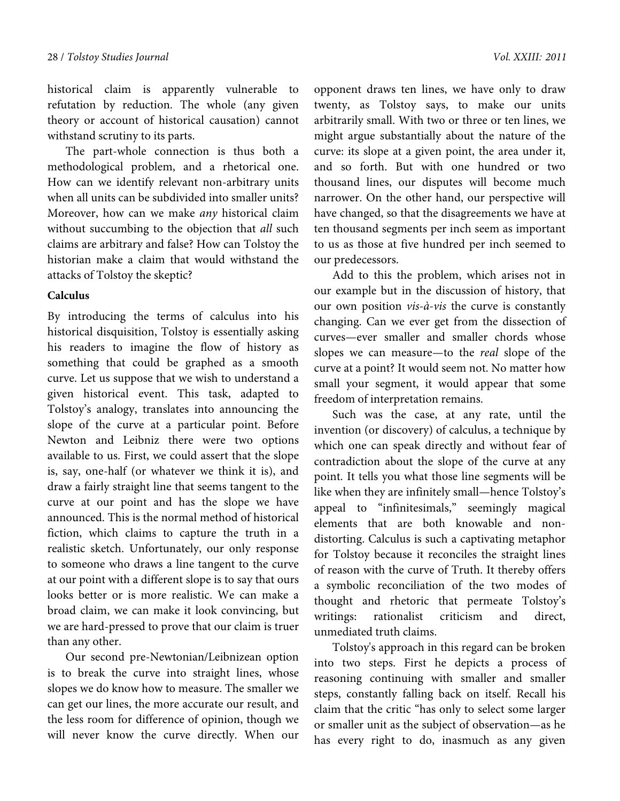historical claim is apparently vulnerable to refutation by reduction. The whole (any given theory or account of historical causation) cannot withstand scrutiny to its parts.

The part-whole connection is thus both a methodological problem, and a rhetorical one. How can we identify relevant non-arbitrary units when all units can be subdivided into smaller units? Moreover, how can we make *any* historical claim without succumbing to the objection that *all* such claims are arbitrary and false? How can Tolstoy the historian make a claim that would withstand the attacks of Tolstoy the skeptic?

#### **Calculus**

By introducing the terms of calculus into his historical disquisition, Tolstoy is essentially asking his readers to imagine the flow of history as something that could be graphed as a smooth curve. Let us suppose that we wish to understand a given historical event. This task, adapted to Tolstoy's analogy, translates into announcing the slope of the curve at a particular point. Before Newton and Leibniz there were two options available to us. First, we could assert that the slope is, say, one-half (or whatever we think it is), and draw a fairly straight line that seems tangent to the curve at our point and has the slope we have announced. This is the normal method of historical fiction, which claims to capture the truth in a realistic sketch. Unfortunately, our only response to someone who draws a line tangent to the curve at our point with a different slope is to say that ours looks better or is more realistic. We can make a broad claim, we can make it look convincing, but we are hard-pressed to prove that our claim is truer than any other.

Our second pre-Newtonian/Leibnizean option is to break the curve into straight lines, whose slopes we do know how to measure. The smaller we can get our lines, the more accurate our result, and the less room for difference of opinion, though we will never know the curve directly. When our

opponent draws ten lines, we have only to draw twenty, as Tolstoy says, to make our units arbitrarily small. With two or three or ten lines, we might argue substantially about the nature of the curve: its slope at a given point, the area under it, and so forth. But with one hundred or two thousand lines, our disputes will become much narrower. On the other hand, our perspective will have changed, so that the disagreements we have at ten thousand segments per inch seem as important to us as those at five hundred per inch seemed to our predecessors.

Add to this the problem, which arises not in our example but in the discussion of history, that our own position *vis-à-vis* the curve is constantly changing. Can we ever get from the dissection of curves—ever smaller and smaller chords whose slopes we can measure—to the *real* slope of the curve at a point? It would seem not. No matter how small your segment, it would appear that some freedom of interpretation remains.

Such was the case, at any rate, until the invention (or discovery) of calculus, a technique by which one can speak directly and without fear of contradiction about the slope of the curve at any point. It tells you what those line segments will be like when they are infinitely small—hence Tolstoy's appeal to "infinitesimals," seemingly magical elements that are both knowable and nondistorting. Calculus is such a captivating metaphor for Tolstoy because it reconciles the straight lines of reason with the curve of Truth. It thereby offers a symbolic reconciliation of the two modes of thought and rhetoric that permeate Tolstoy's writings: rationalist criticism and direct, unmediated truth claims.

Tolstoy's approach in this regard can be broken into two steps. First he depicts a process of reasoning continuing with smaller and smaller steps, constantly falling back on itself. Recall his claim that the critic "has only to select some larger or smaller unit as the subject of observation—as he has every right to do, inasmuch as any given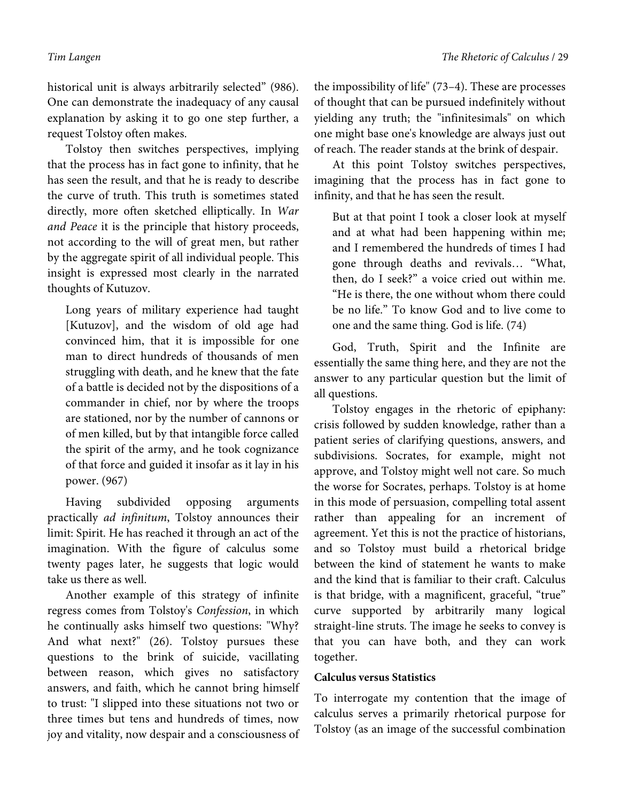historical unit is always arbitrarily selected" (986). One can demonstrate the inadequacy of any causal explanation by asking it to go one step further, a request Tolstoy often makes.

Tolstoy then switches perspectives, implying that the process has in fact gone to infinity, that he has seen the result, and that he is ready to describe the curve of truth. This truth is sometimes stated directly, more often sketched elliptically. In *War and Peace* it is the principle that history proceeds, not according to the will of great men, but rather by the aggregate spirit of all individual people. This insight is expressed most clearly in the narrated thoughts of Kutuzov.

Long years of military experience had taught [Kutuzov], and the wisdom of old age had convinced him, that it is impossible for one man to direct hundreds of thousands of men struggling with death, and he knew that the fate of a battle is decided not by the dispositions of a commander in chief, nor by where the troops are stationed, nor by the number of cannons or of men killed, but by that intangible force called the spirit of the army, and he took cognizance of that force and guided it insofar as it lay in his power. (967)

Having subdivided opposing arguments practically *ad infinitum*, Tolstoy announces their limit: Spirit. He has reached it through an act of the imagination. With the figure of calculus some twenty pages later, he suggests that logic would take us there as well.

Another example of this strategy of infinite regress comes from Tolstoy's *Confession*, in which he continually asks himself two questions: "Why? And what next?" (26). Tolstoy pursues these questions to the brink of suicide, vacillating between reason, which gives no satisfactory answers, and faith, which he cannot bring himself to trust: "I slipped into these situations not two or three times but tens and hundreds of times, now joy and vitality, now despair and a consciousness of

the impossibility of life" (73–4). These are processes of thought that can be pursued indefinitely without yielding any truth; the "infinitesimals" on which one might base one's knowledge are always just out of reach. The reader stands at the brink of despair.

At this point Tolstoy switches perspectives, imagining that the process has in fact gone to infinity, and that he has seen the result.

But at that point I took a closer look at myself and at what had been happening within me; and I remembered the hundreds of times I had gone through deaths and revivals… "What, then, do I seek?" a voice cried out within me. "He is there, the one without whom there could be no life." To know God and to live come to one and the same thing. God is life. (74)

God, Truth, Spirit and the Infinite are essentially the same thing here, and they are not the answer to any particular question but the limit of all questions.

Tolstoy engages in the rhetoric of epiphany: crisis followed by sudden knowledge, rather than a patient series of clarifying questions, answers, and subdivisions. Socrates, for example, might not approve, and Tolstoy might well not care. So much the worse for Socrates, perhaps. Tolstoy is at home in this mode of persuasion, compelling total assent rather than appealing for an increment of agreement. Yet this is not the practice of historians, and so Tolstoy must build a rhetorical bridge between the kind of statement he wants to make and the kind that is familiar to their craft. Calculus is that bridge, with a magnificent, graceful, "true" curve supported by arbitrarily many logical straight-line struts. The image he seeks to convey is that you can have both, and they can work together.

## **Calculus versus Statistics**

To interrogate my contention that the image of calculus serves a primarily rhetorical purpose for Tolstoy (as an image of the successful combination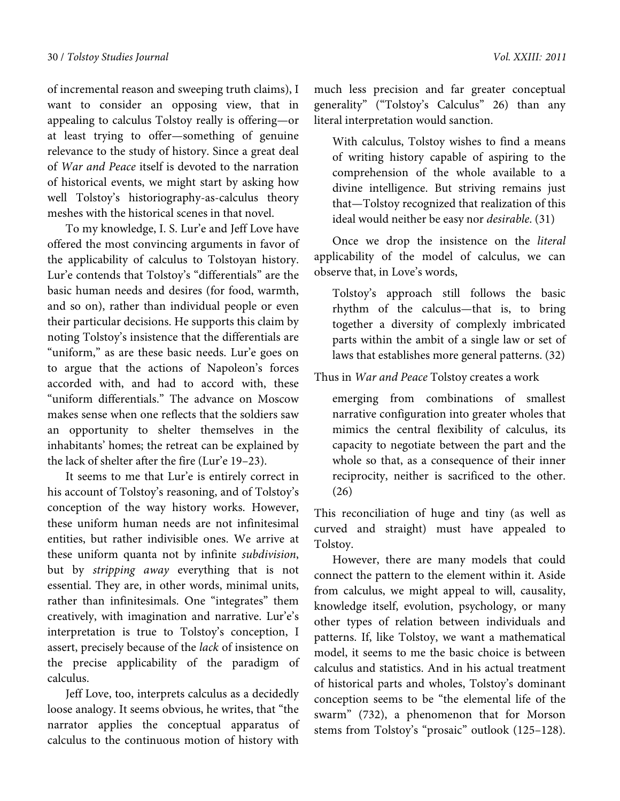of incremental reason and sweeping truth claims), I want to consider an opposing view, that in appealing to calculus Tolstoy really is offering—or at least trying to offer—something of genuine relevance to the study of history. Since a great deal of *War and Peace* itself is devoted to the narration of historical events, we might start by asking how well Tolstoy's historiography-as-calculus theory meshes with the historical scenes in that novel.

To my knowledge, I. S. Lur'e and Jeff Love have offered the most convincing arguments in favor of the applicability of calculus to Tolstoyan history. Lur'e contends that Tolstoy's "differentials" are the basic human needs and desires (for food, warmth, and so on), rather than individual people or even their particular decisions. He supports this claim by noting Tolstoy's insistence that the differentials are "uniform," as are these basic needs. Lur'e goes on to argue that the actions of Napoleon's forces accorded with, and had to accord with, these "uniform differentials." The advance on Moscow makes sense when one reflects that the soldiers saw an opportunity to shelter themselves in the inhabitants' homes; the retreat can be explained by the lack of shelter after the fire (Lur'e 19–23).

It seems to me that Lur'e is entirely correct in his account of Tolstoy's reasoning, and of Tolstoy's conception of the way history works. However, these uniform human needs are not infinitesimal entities, but rather indivisible ones. We arrive at these uniform quanta not by infinite *subdivision*, but by *stripping away* everything that is not essential. They are, in other words, minimal units, rather than infinitesimals. One "integrates" them creatively, with imagination and narrative. Lur'e's interpretation is true to Tolstoy's conception, I assert, precisely because of the *lack* of insistence on the precise applicability of the paradigm of calculus.

Jeff Love, too, interprets calculus as a decidedly loose analogy. It seems obvious, he writes, that "the narrator applies the conceptual apparatus of calculus to the continuous motion of history with

much less precision and far greater conceptual generality" ("Tolstoy's Calculus" 26) than any literal interpretation would sanction.

With calculus, Tolstoy wishes to find a means of writing history capable of aspiring to the comprehension of the whole available to a divine intelligence. But striving remains just that—Tolstoy recognized that realization of this ideal would neither be easy nor *desirable*. (31)

Once we drop the insistence on the *literal* applicability of the model of calculus, we can observe that, in Love's words,

Tolstoy's approach still follows the basic rhythm of the calculus—that is, to bring together a diversity of complexly imbricated parts within the ambit of a single law or set of laws that establishes more general patterns. (32)

Thus in *War and Peace* Tolstoy creates a work

emerging from combinations of smallest narrative configuration into greater wholes that mimics the central flexibility of calculus, its capacity to negotiate between the part and the whole so that, as a consequence of their inner reciprocity, neither is sacrificed to the other. (26)

This reconciliation of huge and tiny (as well as curved and straight) must have appealed to Tolstoy.

However, there are many models that could connect the pattern to the element within it. Aside from calculus, we might appeal to will, causality, knowledge itself, evolution, psychology, or many other types of relation between individuals and patterns. If, like Tolstoy, we want a mathematical model, it seems to me the basic choice is between calculus and statistics. And in his actual treatment of historical parts and wholes, Tolstoy's dominant conception seems to be "the elemental life of the swarm" (732), a phenomenon that for Morson stems from Tolstoy's "prosaic" outlook (125–128).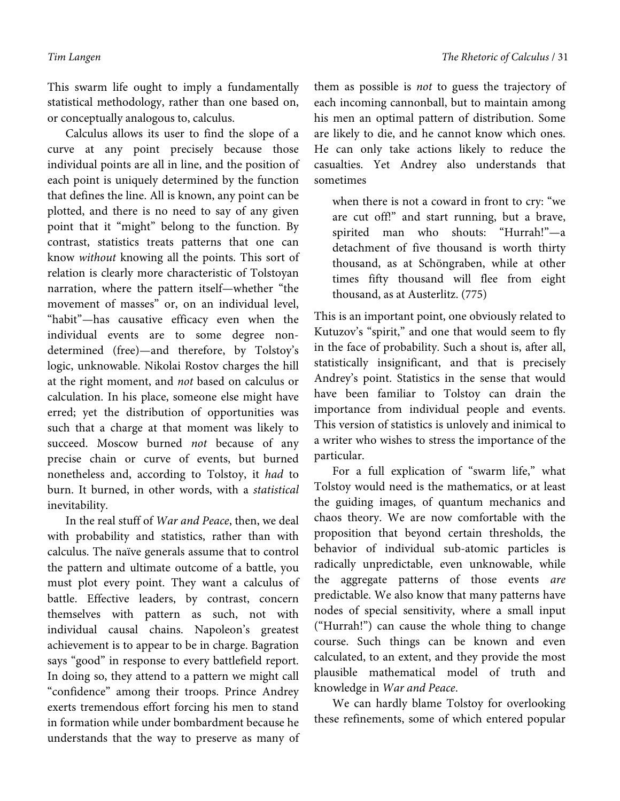This swarm life ought to imply a fundamentally statistical methodology, rather than one based on, or conceptually analogous to, calculus.

Calculus allows its user to find the slope of a curve at any point precisely because those individual points are all in line, and the position of each point is uniquely determined by the function that defines the line. All is known, any point can be plotted, and there is no need to say of any given point that it "might" belong to the function. By contrast, statistics treats patterns that one can know *without* knowing all the points. This sort of relation is clearly more characteristic of Tolstoyan narration, where the pattern itself—whether "the movement of masses" or, on an individual level, "habit"—has causative efficacy even when the individual events are to some degree nondetermined (free)—and therefore, by Tolstoy's logic, unknowable. Nikolai Rostov charges the hill at the right moment, and *not* based on calculus or calculation. In his place, someone else might have erred; yet the distribution of opportunities was such that a charge at that moment was likely to succeed. Moscow burned *not* because of any precise chain or curve of events, but burned nonetheless and, according to Tolstoy, it *had* to burn. It burned, in other words, with a *statistical* inevitability.

In the real stuff of *War and Peace*, then, we deal with probability and statistics, rather than with calculus. The naïve generals assume that to control the pattern and ultimate outcome of a battle, you must plot every point. They want a calculus of battle. Effective leaders, by contrast, concern themselves with pattern as such, not with individual causal chains. Napoleon's greatest achievement is to appear to be in charge. Bagration says "good" in response to every battlefield report. In doing so, they attend to a pattern we might call "confidence" among their troops. Prince Andrey exerts tremendous effort forcing his men to stand in formation while under bombardment because he understands that the way to preserve as many of them as possible is *not* to guess the trajectory of each incoming cannonball, but to maintain among his men an optimal pattern of distribution. Some are likely to die, and he cannot know which ones. He can only take actions likely to reduce the casualties. Yet Andrey also understands that sometimes

when there is not a coward in front to cry: "we are cut off!" and start running, but a brave, spirited man who shouts: "Hurrah!"—a detachment of five thousand is worth thirty thousand, as at Schöngraben, while at other times fifty thousand will flee from eight thousand, as at Austerlitz. (775)

This is an important point, one obviously related to Kutuzov's "spirit," and one that would seem to fly in the face of probability. Such a shout is, after all, statistically insignificant, and that is precisely Andrey's point. Statistics in the sense that would have been familiar to Tolstoy can drain the importance from individual people and events. This version of statistics is unlovely and inimical to a writer who wishes to stress the importance of the particular.

For a full explication of "swarm life," what Tolstoy would need is the mathematics, or at least the guiding images, of quantum mechanics and chaos theory. We are now comfortable with the proposition that beyond certain thresholds, the behavior of individual sub-atomic particles is radically unpredictable, even unknowable, while the aggregate patterns of those events *are* predictable. We also know that many patterns have nodes of special sensitivity, where a small input ("Hurrah!") can cause the whole thing to change course. Such things can be known and even calculated, to an extent, and they provide the most plausible mathematical model of truth and knowledge in *War and Peace*.

We can hardly blame Tolstoy for overlooking these refinements, some of which entered popular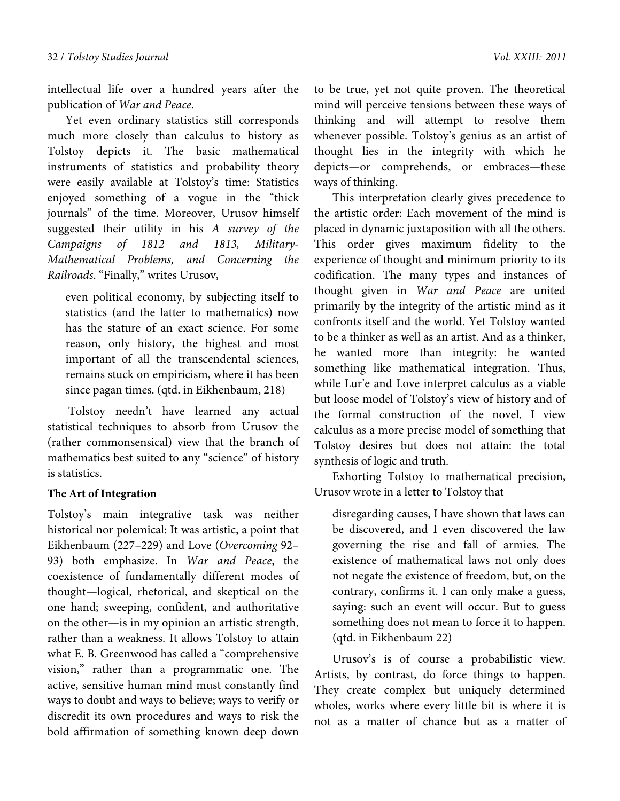intellectual life over a hundred years after the publication of *War and Peace*.

Yet even ordinary statistics still corresponds much more closely than calculus to history as Tolstoy depicts it. The basic mathematical instruments of statistics and probability theory were easily available at Tolstoy's time: Statistics enjoyed something of a vogue in the "thick journals" of the time. Moreover, Urusov himself suggested their utility in his *A survey of the Campaigns of 1812 and 1813, Military-Mathematical Problems, and Concerning the Railroads*. "Finally," writes Urusov,

even political economy, by subjecting itself to statistics (and the latter to mathematics) now has the stature of an exact science. For some reason, only history, the highest and most important of all the transcendental sciences, remains stuck on empiricism, where it has been since pagan times. (qtd. in Eikhenbaum, 218)

 Tolstoy needn't have learned any actual statistical techniques to absorb from Urusov the (rather commonsensical) view that the branch of mathematics best suited to any "science" of history is statistics.

## **The Art of Integration**

Tolstoy's main integrative task was neither historical nor polemical: It was artistic, a point that Eikhenbaum (227–229) and Love (*Overcoming* 92– 93) both emphasize. In *War and Peace*, the coexistence of fundamentally different modes of thought—logical, rhetorical, and skeptical on the one hand; sweeping, confident, and authoritative on the other—is in my opinion an artistic strength, rather than a weakness. It allows Tolstoy to attain what E. B. Greenwood has called a "comprehensive vision," rather than a programmatic one. The active, sensitive human mind must constantly find ways to doubt and ways to believe; ways to verify or discredit its own procedures and ways to risk the bold affirmation of something known deep down

to be true, yet not quite proven. The theoretical mind will perceive tensions between these ways of thinking and will attempt to resolve them whenever possible. Tolstoy's genius as an artist of thought lies in the integrity with which he depicts—or comprehends, or embraces—these ways of thinking.

This interpretation clearly gives precedence to the artistic order: Each movement of the mind is placed in dynamic juxtaposition with all the others. This order gives maximum fidelity to the experience of thought and minimum priority to its codification. The many types and instances of thought given in *War and Peace* are united primarily by the integrity of the artistic mind as it confronts itself and the world. Yet Tolstoy wanted to be a thinker as well as an artist. And as a thinker, he wanted more than integrity: he wanted something like mathematical integration. Thus, while Lur'e and Love interpret calculus as a viable but loose model of Tolstoy's view of history and of the formal construction of the novel, I view calculus as a more precise model of something that Tolstoy desires but does not attain: the total synthesis of logic and truth.

Exhorting Tolstoy to mathematical precision, Urusov wrote in a letter to Tolstoy that

disregarding causes, I have shown that laws can be discovered, and I even discovered the law governing the rise and fall of armies. The existence of mathematical laws not only does not negate the existence of freedom, but, on the contrary, confirms it. I can only make a guess, saying: such an event will occur. But to guess something does not mean to force it to happen. (qtd. in Eikhenbaum 22)

Urusov's is of course a probabilistic view. Artists, by contrast, do force things to happen. They create complex but uniquely determined wholes, works where every little bit is where it is not as a matter of chance but as a matter of